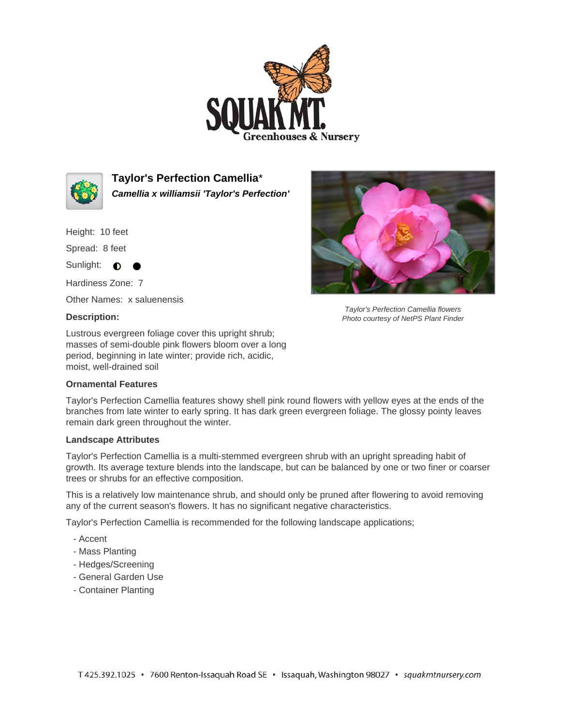



**Taylor's Perfection Camellia**\* **Camellia x williamsii 'Taylor's Perfection'**

Height: 10 feet

Spread: 8 feet

Sunlight: **O** 

Hardiness Zone: 7

Other Names: x saluenensis

## **Description:**

Lustrous evergreen foliage cover this upright shrub; masses of semi-double pink flowers bloom over a long period, beginning in late winter; provide rich, acidic, moist, well-drained soil

## **Ornamental Features**

Taylor's Perfection Camellia features showy shell pink round flowers with yellow eyes at the ends of the branches from late winter to early spring. It has dark green evergreen foliage. The glossy pointy leaves remain dark green throughout the winter.

## **Landscape Attributes**

Taylor's Perfection Camellia is a multi-stemmed evergreen shrub with an upright spreading habit of growth. Its average texture blends into the landscape, but can be balanced by one or two finer or coarser trees or shrubs for an effective composition.

This is a relatively low maintenance shrub, and should only be pruned after flowering to avoid removing any of the current season's flowers. It has no significant negative characteristics.

Taylor's Perfection Camellia is recommended for the following landscape applications;

- Accent
- Mass Planting
- Hedges/Screening
- General Garden Use
- Container Planting



Taylor's Perfection Camellia flowers Photo courtesy of NetPS Plant Finder